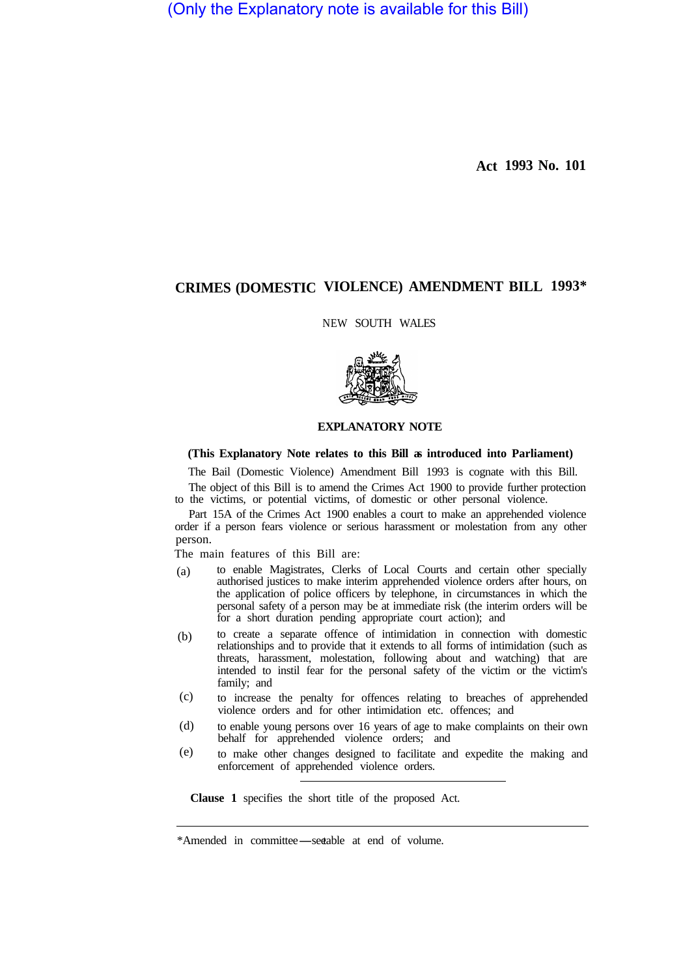(Only the Explanatory note is available for this Bill)

**Act 1993 No. 101** 

# **CRIMES (DOMESTIC VIOLENCE) AMENDMENT BILL 1993\***

NEW SOUTH WALES



# **EXPLANATORY NOTE**

# **(This Explanatory Note relates to this Bill as introduced into Parliament)**

The Bail (Domestic Violence) Amendment Bill 1993 is cognate with this Bill.

The object of this Bill is to amend the Crimes Act 1900 to provide further protection to the victims, or potential victims, of domestic or other personal violence.

Part 15A of the Crimes Act 1900 enables a court to make an apprehended violence order if a person fears violence or serious harassment or molestation from any other person.

The main features of this Bill are:

- to enable Magistrates, Clerks of Local Courts and certain other specially authorised justices to make interim apprehended violence orders after hours, on the application of police officers by telephone, in circumstances in which the personal safety of a person may be at immediate risk (the interim orders will be for a short duration pending appropriate court action); and (a)
- to create a separate offence of intimidation in connection with domestic relationships and to provide that it extends to all forms of intimidation (such as threats, harassment, molestation, following about and watching) that are intended to instil fear for the personal safety of the victim or the victim's family; and (b)
- to increase the penalty for offences relating to breaches of apprehended violence orders and for other intimidation etc. offences; and (c)
- to enable young persons over 16 years of age to make complaints on their own behalf for apprehended violence orders; and (d)
- to make other changes designed to facilitate and expedite the making and enforcement of apprehended violence orders. (e)

**Clause 1** specifies the short title of the proposed Act.

<sup>\*</sup>Amended in committee—see table at end of volume.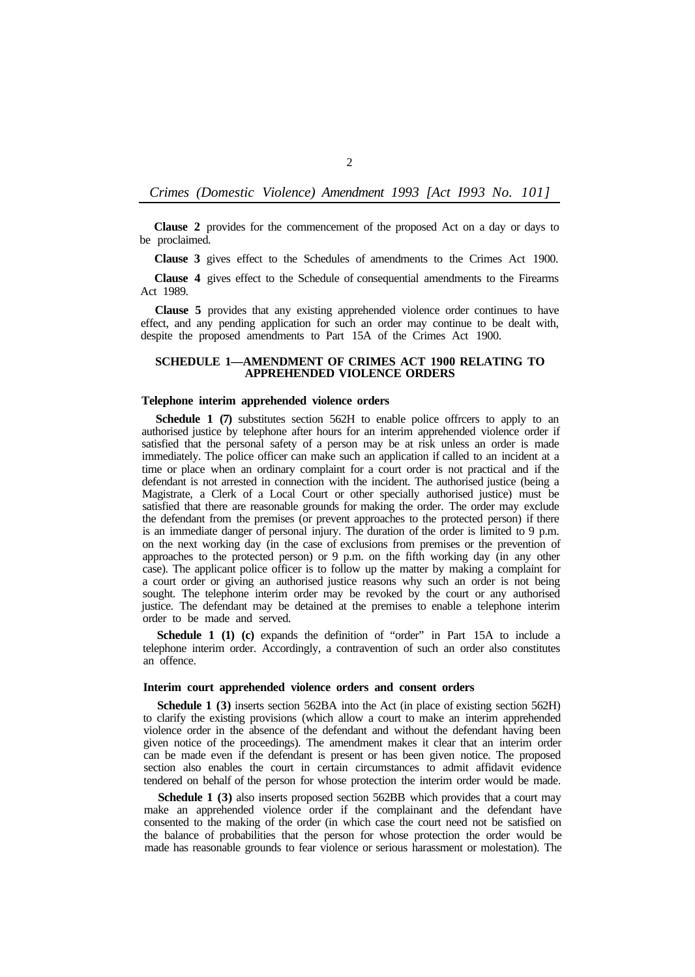*Crimes (Domestic Violence) Amendment 1993 [Act I993 No. 101]* 

**Clause 2** provides for the commencement of the proposed Act on a day or days to be proclaimed.

**Clause 3** gives effect to the Schedules of amendments to the Crimes Act 1900.

**Clause 4** gives effect to the Schedule of consequential amendments to the Firearms Act 1989.

**Clause 5** provides that any existing apprehended violence order continues to have effect, and any pending application for such an order may continue to be dealt with, despite the proposed amendments to Part 15A of the Crimes Act 1900.

# **SCHEDULE 1—AMENDMENT OF CRIMES ACT 1900 RELATING TO APPREHENDED VIOLENCE ORDERS**

# **Telephone interim apprehended violence orders**

**Schedule 1 (7)** substitutes section 562H to enable police offrcers to apply to an authorised justice by telephone after hours for an interim apprehended violence order if satisfied that the personal safety of a person may be at risk unless an order is made immediately. The police officer can make such an application if called to an incident at a time or place when an ordinary complaint for a court order is not practical and if the defendant is not arrested in connection with the incident. The authorised justice (being a Magistrate, a Clerk of a Local Court or other specially authorised justice) must be satisfied that there are reasonable grounds for making the order. The order may exclude the defendant from the premises (or prevent approaches to the protected person) if there is an immediate danger of personal injury. The duration of the order is limited to 9 p.m. on the next working day (in the case of exclusions from premises or the prevention of approaches to the protected person) or 9 p.m. on the fifth working day (in any other case). The applicant police officer is to follow up the matter by making a complaint for a court order or giving an authorised justice reasons why such an order is not being sought. The telephone interim order may be revoked by the court or any authorised justice. The defendant may be detained at the premises to enable a telephone interim order to be made and served.

**Schedule 1 (1) (c)** expands the definition of "order" in Part 15A to include a telephone interim order. Accordingly, a contravention of such an order also constitutes an offence.

#### **Interim court apprehended violence orders and consent orders**

**Schedule 1 (3)** inserts section 562BA into the Act (in place of existing section 562H) to clarify the existing provisions (which allow a court to make an interim apprehended violence order in the absence of the defendant and without the defendant having been given notice of the proceedings). The amendment makes it clear that an interim order can be made even if the defendant is present or has been given notice. The proposed section also enables the court in certain circumstances to admit affidavit evidence tendered on behalf of the person for whose protection the interim order would be made.

**Schedule 1 (3)** also inserts proposed section 562BB which provides that a court may make an apprehended violence order if the complainant and the defendant have consented to the making of the order (in which case the court need not be satisfied on the balance of probabilities that the person for whose protection the order would be made has reasonable grounds to fear violence or serious harassment or molestation). The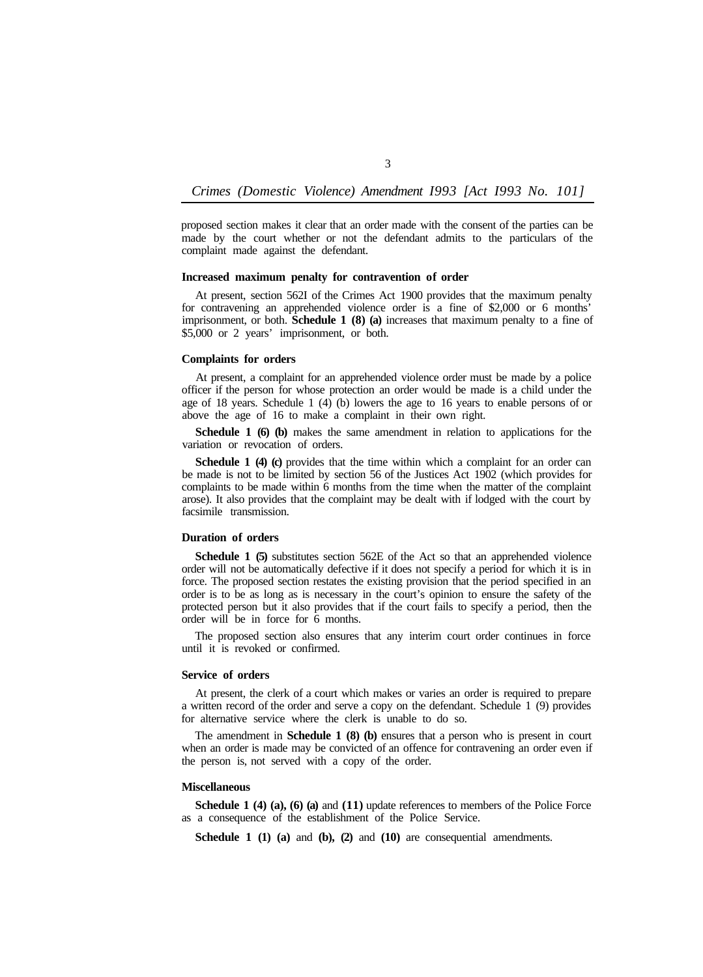*Crimes (Domestic Violence) Amendment I993 [Act I993 No. 101]* 

3

proposed section makes it clear that an order made with the consent of the parties can be made by the court whether or not the defendant admits to the particulars of the complaint made against the defendant.

# **Increased maximum penalty for contravention of order**

At present, section 562I of the Crimes Act 1900 provides that the maximum penalty for contravening an apprehended violence order is a fine of \$2,000 or 6 months' imprisonment, or both. **Schedule 1 (8) (a)** increases that maximum penalty to a fine of \$5,000 or 2 years' imprisonment, or both.

#### **Complaints for orders**

At present, a complaint for an apprehended violence order must be made by a police officer if the person for whose protection an order would be made is a child under the age of 18 years. Schedule 1 (4) (b) lowers the age to 16 years to enable persons of or above the age of 16 to make a complaint in their own right.

**Schedule 1 (6) (b)** makes the same amendment in relation to applications for the variation or revocation of orders.

**Schedule 1 (4) (c)** provides that the time within which a complaint for an order can be made is not to be limited by section 56 of the Justices Act 1902 (which provides for complaints to be made within 6 months from the time when the matter of the complaint arose). It also provides that the complaint may be dealt with if lodged with the court by facsimile transmission.

## **Duration of orders**

**Schedule 1 (5)** substitutes section 562E of the Act so that an apprehended violence order will not be automatically defective if it does not specify a period for which it is in force. The proposed section restates the existing provision that the period specified in an order is to be as long as is necessary in the court's opinion to ensure the safety of the protected person but it also provides that if the court fails to specify a period, then the order will be in force for 6 months.

The proposed section also ensures that any interim court order continues in force until it is revoked or confirmed.

# **Service of orders**

At present, the clerk of a court which makes or varies an order is required to prepare a written record of the order and serve a copy on the defendant. Schedule 1 (9) provides for alternative service where the clerk is unable to do so.

The amendment in **Schedule 1 (8) (b)** ensures that a person who is present in court when an order is made may be convicted of an offence for contravening an order even if the person is, not served with a copy of the order.

#### **Miscellaneous**

**Schedule 1 (4) (a), (6) (a) and (11) update references to members of the Police Force** as a consequence of the establishment of the Police Service.

**Schedule 1 (1) (a)** and **(b), (2)** and **(10)** are consequential amendments.